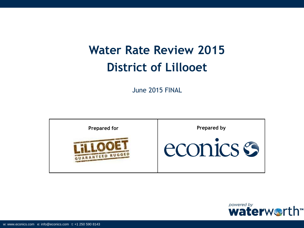# **Water Rate Review 2015 District of Lillooet**

June 2015 FINAL



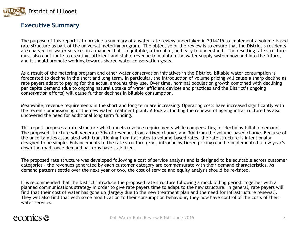

#### **Executive Summary**

The purpose of this report is to provide a summary of a water rate review undertaken in 2014/15 to implement a volume-based rate structure as part of the universal metering program. The objective of the review is to ensure that the District's residents are charged for water services in a manner that is equitable, affordable, and easy to understand. The resulting rate structure must also contribute to creating sufficient and stable revenue to maintain the water supply system now and into the future, and it should promote working towards shared water conservation goals.

As a result of the metering program and other water conservation initiatives in the District, billable water consumption is forecasted to decline in the short and long term. In particular, the introduction of volume pricing will cause a sharp decline as rate payers adapt to paying for the actual amounts they use. Over time, nominal population growth combined with declining per capita demand (due to ongoing natural uptake of water efficient devices and practices and the District's ongoing conservation efforts) will cause further declines in billable consumption.

Meanwhile, revenue requirements in the short and long term are increasing. Operating costs have increased significantly with the recent commissioning of the new water treatment plant. A look at funding the renewal of ageing infrastructure has also uncovered the need for additional long term funding.

This report proposes a rate structure which meets revenue requirements while compensating for declining billable demand. The proposed structure will generate 70% of revenues from a fixed charge, and 30% from the volume-based charge. Because of the uncertainties associated with transitioning from flat rates to volume-based rates, the rate structure is intentionally designed to be simple. Enhancements to the rate structure (e.g., introducing tiered pricing) can be implemented a few year's down the road, once demand patterns have stabilized.

The proposed rate structure was developed following a cost of service analysis and is designed to be equitable across customer categories - the revenues generated by each customer category are commensurate with their demand characteristics. As demand patterns settle over the next year or two, the cost of service and equity analysis should be revisited.

It is recommended that the District introduce the proposed rate structure following a mock billing period, together with a planned communications strategy in order to give rate payers time to adapt to the new structure. In general, rate payers will find that their cost of water has gone up (largely due to the new treatment plan and the need for infrastructure renewal). They will also find that with some modification to their consumption behaviour, they now have control of the costs of their water services.

### econics **es**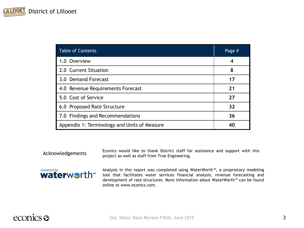| <b>Table of Contents</b>                     | Page # |
|----------------------------------------------|--------|
| 1.0 Overview                                 | 4      |
| 2.0 Current Situation                        | 8      |
| 3.0 Demand Forecast                          | 17     |
| 4.0 Revenue Requirements Forecast            | 21     |
| 5.0 Cost of Service                          | 27     |
| 6.0 Proposed Rate Structure                  | 32     |
| 7.0 Findings and Recommendations             | 36     |
| Appendix 1: Terminology and Units of Measure | 40     |

Acknowledgements

Econics would like to thank District staff for assistance and support with this project as well as staff from True Engineering.



Analysis in this report was completed using WaterWorth™, a proprietary modeling tool that facilitates water services financial analysis, revenue forecasting and development of rate structures. More information about WaterWorth™ can be found online at www.econics.com.

### econics <del>S</del>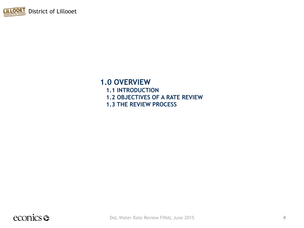

### **1.0 OVERVIEW**

- **1.1 INTRODUCTION**
- **1.2 OBJECTIVES OF A RATE REVIEW**
- **1.3 THE REVIEW PROCESS**

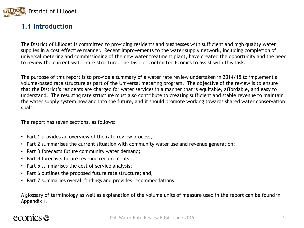

#### **1.1 Introduction**

The District of Lillooet is committed to providing residents and businesses with sufficient and high quality water supplies in a cost effective manner. Recent improvements to the water supply network, including completion of universal metering and commissioning of the new water treatment plant, have created the opportunity and the need to review the current water rate structure. The District contracted Econics to assist with this task.

The purpose of this report is to provide a summary of a water rate review undertaken in 2014/15 to implement a volume-based rate structure as part of the Universal metering program. The objective of the review is to ensure that the District's residents are charged for water services in a manner that is equitable, affordable, and easy to understand. The resulting rate structure must also contribute to creating sufficient and stable revenue to maintain the water supply system now and into the future, and it should promote working towards shared water conservation goals.

The report has seven sections, as follows:

- Part 1 provides an overview of the rate review process;
- Part 2 summarises the current situation with community water use and revenue generation;
- Part 3 forecasts future community water demand;
- Part 4 forecasts future revenue requirements;
- Part 5 summarises the cost of service analysis;
- Part 6 outlines the proposed future rate structure; and,
- Part 7 summaries overall findings and provides recommendations.

A glossary of terminology as well as explanation of the volume units of measure used in the report can be found in Appendix 1.

### econics **es**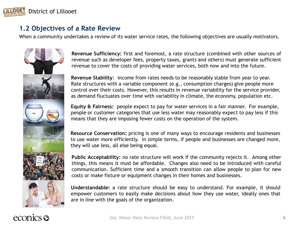

#### **1.2 Objectives of a Rate Review**

When a community undertakes a review of its water service rates, the following objectives are usually motivators.



**Revenue Sufficiency:** first and foremost, a rate structure (combined with other sources of revenue such as developer fees, property taxes, grants and others) must generate sufficient revenue to cover the costs of providing water services, both now and into the future.

**Revenue Stability**: income from rates needs to be reasonably stable from year to year. Rate structures with a variable component (e.g., consumption charges) give people more control over their costs. However, this results in revenue variability for the service provider, as demand fluctuates over time with variability in climate, the economy, population etc.

**Equity & Fairness:** people expect to pay for water services in a fair manner. For example, people or customer categories that use less water may reasonably expect to pay less if this means that they are imposing fewer costs on the operation of the system.

**Resource Conservation:** pricing is one of many ways to encourage residents and businesses to use water more efficiently. In simple terms, if people and businesses are changed more, they will use less, all else being equal.

**Public Acceptability:** no rate structure will work if the community rejects it. Among other things, this means it must be affordable. Changes also need to be introduced with careful communication. Sufficient time and a smooth transition can allow people to plan for new costs or make fixture or equipment changes in their homes and businesses.

**Understandable:** a rate structure should be easy to understand. For example, it should empower customers to easily make decisions about how they use water, ideally ones that are in line with the goals of the organization.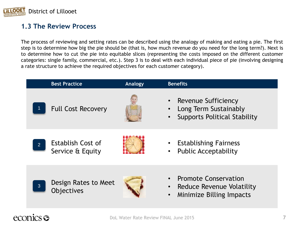

#### **1.3 The Review Process**

The process of reviewing and setting rates can be described using the analogy of making and eating a pie. The first step is to determine how big the pie should be (that is, how much revenue do you need for the long term?). Next is to determine how to cut the pie into equitable slices (representing the costs imposed on the different customer categories: single family, commercial, etc.). Step 3 is to deal with each individual piece of pie (involving designing a rate structure to achieve the required objectives for each customer category).

|                | <b>Best Practice</b>                         | <b>Analogy</b> | <b>Benefits</b>                                                                                          |
|----------------|----------------------------------------------|----------------|----------------------------------------------------------------------------------------------------------|
|                | <b>Full Cost Recovery</b>                    |                | Revenue Sufficiency<br>Long Term Sustainably<br><b>Supports Political Stability</b>                      |
| $\overline{2}$ | <b>Establish Cost of</b><br>Service & Equity |                | <b>Establishing Fairness</b><br><b>Public Acceptability</b>                                              |
| $\overline{3}$ | Design Rates to Meet<br>Objectives           |                | <b>Promote Conservation</b><br>Reduce Revenue Volatility<br><b>Minimize Billing Impacts</b><br>$\bullet$ |

### econics **es**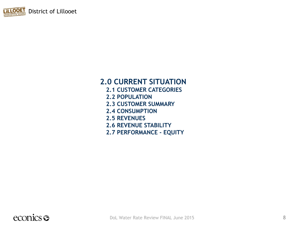

## **2.0 CURRENT SITUATION**

- **2.1 CUSTOMER CATEGORIES**
- **2.2 POPULATION**
- **2.3 CUSTOMER SUMMARY**
- **2.4 CONSUMPTION**
- **2.5 REVENUES**
- **2.6 REVENUE STABILITY**
- **2.7 PERFORMANCE - EQUITY**

### econics <del>o</del>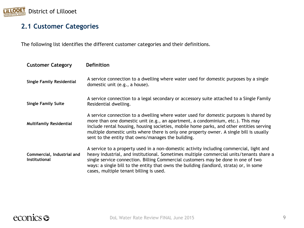

### **2.1 Customer Categories**

The following list identifies the different customer categories and their definitions.

| <b>Customer Category</b>                           | <b>Definition</b>                                                                                                                                                                                                                                                                                                                                                                                                       |
|----------------------------------------------------|-------------------------------------------------------------------------------------------------------------------------------------------------------------------------------------------------------------------------------------------------------------------------------------------------------------------------------------------------------------------------------------------------------------------------|
| <b>Single Family Residential</b>                   | A service connection to a dwelling where water used for domestic purposes by a single<br>domestic unit (e.g., a house).                                                                                                                                                                                                                                                                                                 |
| <b>Single Family Suite</b>                         | A service connection to a legal secondary or accessory suite attached to a Single Family<br>Residential dwelling.                                                                                                                                                                                                                                                                                                       |
| <b>Multifamily Residential</b>                     | A service connection to a dwelling where water used for domestic purposes is shared by<br>more than one domestic unit (e.g., an apartment, a condominium, etc.). This may<br>include rental housing, housing societies, mobile home parks, and other entities serving<br>multiple domestic units where there is only one property owner. A single bill is usually<br>sent to the entity that owns/manages the building. |
| Commercial, Industrial and<br><b>Institutional</b> | A service to a property used in a non-domestic activity including commercial, light and<br>heavy industrial, and institutional. Sometimes multiple commercial units/tenants share a<br>single service connection. Billing Commercial customers may be done in one of two<br>ways: a single bill to the entity that owns the building (landlord, strata) or, in some<br>cases, multiple tenant billing is used.          |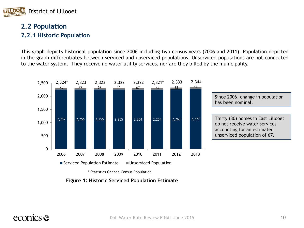

#### **2.2 Population 2.2.1 Historic Population**

This graph depicts historical population since 2006 including two census years (2006 and 2011). Population depicted in the graph differentiates between serviced and unserviced populations. Unserviced populations are not connected to the water system. They receive no water utility services, nor are they billed by the municipality.



Since 2006, change in population has been nominal.

Thirty (30) homes in East Lillooet do not receive water services accounting for an estimated unserviced population of 67.

**Figure 1: Historic Serviced Population Estimate**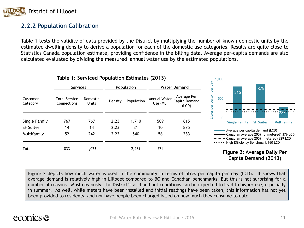

#### **2.2.2 Population Calibration**

Table 1 tests the validity of data provided by the District by multiplying the number of known domestic units by the estimated dwelling density to derive a population for each of the domestic use categories. Results are quite close to Statistics Canada population estimate, providing confidence in the billing data. Average per-capita demands are also calculated evaluated by dividing the measured annual water use by the estimated populations.

|                      | Table 1: Serviced Population Estimates (2013) |                          |         | 1,000      |                          |                                       |                                                                                                                               |
|----------------------|-----------------------------------------------|--------------------------|---------|------------|--------------------------|---------------------------------------|-------------------------------------------------------------------------------------------------------------------------------|
|                      | <b>Services</b>                               |                          |         | Population |                          | <b>Water Demand</b>                   | $d$ ay<br>875<br>႘                                                                                                            |
| Customer<br>Category | <b>Total Service</b><br>Connections           | Domestic<br><b>Units</b> | Density | Population | Annual Water<br>Use (ML) | Average Per<br>Capita Demand<br>(LCD) | 815<br>g<br>500<br>per<br>Ö                                                                                                   |
| Single Family        | 767                                           | 767                      | 2.23    | 1,710      | 509                      | 815                                   | Litres<br>283<br><b>Single Family</b><br><b>SF Suites</b><br><b>Multifamily</b>                                               |
| <b>SF Suites</b>     | 14                                            | 14                       | 2.23    | 31         | 10                       | 875                                   | Average per capita demand (LCD)                                                                                               |
| Multifamily          | 52                                            | 242                      | 2.23    | 540        | 56                       | 283                                   | - Canadian Average 2009 (unmetered) 376 LCD<br>- Canadian Average 2009 (metered) 229 LCD<br>High Efficiency Benchmark 160 LCD |
| Total                | 833                                           | 1,023                    |         | 2,281      | 574                      |                                       | Figure 2: Average Daily Per                                                                                                   |

### **Capita Demand (2013)**

Figure 2 depicts how much water is used in the community in terms of litres per capita per day (LCD). It shows that average demand is relatively high in Lillooet compared to BC and Canadian benchmarks. But this is not surprising for a number of reasons. Most obviously, the District's arid and hot conditions can be expected to lead to higher use, especially in summer. As well, while meters have been installed and initial readings have been taken, this information has not yet been provided to residents, and nor have people been charged based on how much they consume to date.

### econics **es**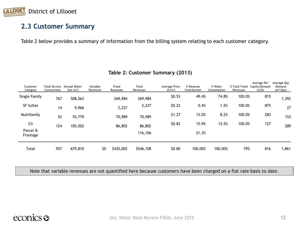

#### **2.3 Customer Summary**

Table 2 below provides a summary of information from the billing system relating to each customer category.

| Customer<br>Category | Total Service<br>Connections | Annual Water<br>Use $(m^3)$ | Variable<br>Revenues | Fixed<br>Revenues | Total<br>Revenues | Average Price<br>(S/m <sup>3</sup> ) | % Revenue<br>Contribution | % Water<br>Consumption | % Total Fixed<br>Revenues | Average Per<br>Capita Demand<br>(LCD) | Average Day<br>Demand<br>(m <sup>3</sup> /day) |
|----------------------|------------------------------|-----------------------------|----------------------|-------------------|-------------------|--------------------------------------|---------------------------|------------------------|---------------------------|---------------------------------------|------------------------------------------------|
| Single Family        | 767                          | 508,563                     |                      | 269,984           | 269,984           | \$0.53                               | 49.4%                     | 74.8%                  | 100.0%                    | 815                                   | 1,392                                          |
| <b>SF Suites</b>     | 14                           | 9,966                       |                      | 2,227             | 2,227             | \$0.22                               | 0.4%                      | 1.5%                   | 100.0%                    | 875                                   | 27                                             |
| Multifamily          | 52                           | 55,779                      |                      | 70,989            | 70,989            | \$1.27                               | 13.0%                     | 8.2%                   | 100.0%                    | 283                                   | 153                                            |
| <b>CII</b>           | 124                          | 105,502                     |                      | 86,802            | 86,802            | \$0.82                               | 15.9%                     | 15.5%                  | 100.0%                    | 127                                   | 289                                            |
| Parcel &<br>Frontage |                              |                             |                      |                   | 116,106           |                                      | 21.3%                     |                        |                           |                                       |                                                |
| Total                | 957                          | 679,810                     | \$0                  | \$430,002         | \$546,108         | \$0.80                               | 100.00%                   | 100.00%                | 79%                       | 816                                   | 1,861                                          |

#### **Table 2: Customer Summary (2013)**

Note that variable revenues are not quantified here because customers have been charged on a flat rate basis to date.

### econics <del>o</del>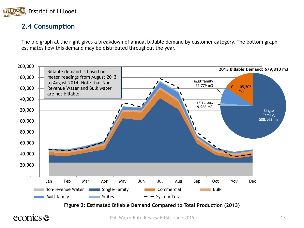

#### **2.4 Consumption**

The pie graph at the right gives a breakdown of annual billable demand by customer category. The bottom graph estimates how this demand may be distributed throughout the year.



### econics s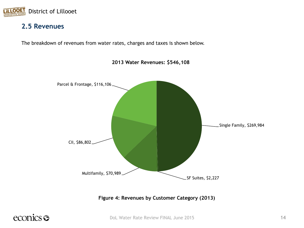

#### **2.5 Revenues**

The breakdown of revenues from water rates, charges and taxes is shown below.



**2013 Water Revenues: \$546,108** 

**Figure 4: Revenues by Customer Category (2013)**

### econics <del>o</del>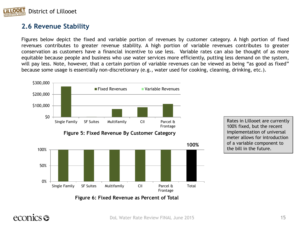

#### **2.6 Revenue Stability**

Figures below depict the fixed and variable portion of revenues by customer category. A high portion of fixed revenues contributes to greater revenue stability. A high portion of variable revenues contributes to greater conservation as customers have a financial incentive to use less. Variable rates can also be thought of as more equitable because people and business who use water services more efficiently, putting less demand on the system, will pay less. Note, however, that a certain portion of variable revenues can be viewed as being "as good as fixed" because some usage is essentially non-discretionary (e.g., water used for cooking, cleaning, drinking, etc.).



### econics **es**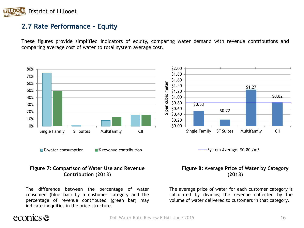

#### **2.7 Rate Performance - Equity**

These figures provide simplified indicators of equity, comparing water demand with revenue contributions and comparing average cost of water to total system average cost.



#### **Figure 7: Comparison of Water Use and Revenue Contribution (2013)**

The difference between the percentage of water consumed (blue bar) by a customer category and the percentage of revenue contributed (green bar) may indicate inequities in the price structure.

#### **Figure 8: Average Price of Water by Category (2013)**

The average price of water for each customer category is calculated by dividing the revenue collected by the volume of water delivered to customers in that category.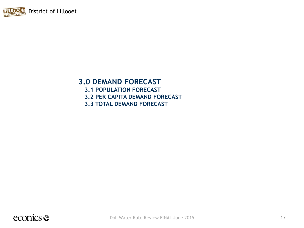

#### **3.0 DEMAND FORECAST**

**3.1 POPULATION FORECAST 3.2 PER CAPITA DEMAND FORECAST 3.3 TOTAL DEMAND FORECAST**

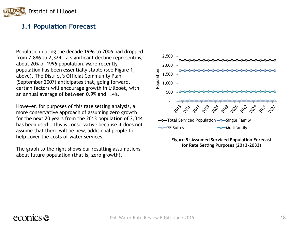

#### **3.1 Population Forecast**

Population during the decade 1996 to 2006 had dropped from 2,886 to 2,324 – a significant decline representing about 20% of 1996 population. More recently, population has been essentially stable (see Figure 1, above). The District's Official Community Plan (September 2007) anticipates that, going forward, certain factors will encourage growth in Lillooet, with an annual average of between 0.9% and 1.4%.

However, for purposes of this rate setting analysis, a more conservative approach of assuming zero growth for the next 20 years from the 2013 population of 2,344 has been used. This is conservative because it does not assume that there will be new, additional people to help cover the costs of water services.

The graph to the right shows our resulting assumptions about future population (that is, zero growth).



**Figure 9: Assumed Serviced Population Forecast for Rate Setting Purposes (2013-2033)**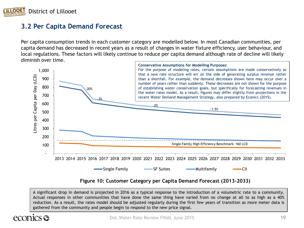

#### **3.2 Per Capita Demand Forecast**

Per capita consumption trends in each customer category are modelled below. In most Canadian communities, per capita demand has decreased in recent years as a result of changes in water fixture efficiency, user behaviour, and local regulations. These factors will likely continue to reduce per capita demand although rate of decline will likely diminish over time.



#### **Figure 10: Customer Category per Capita Demand Forecast (2013-2033)**

A significant drop in demand is projected in 2016 as a typical response to the introduction of a volumetric rate to a community. Actual responses in other communities that have done the same thing have varied from no change at all to as high as a 40% reduction. As a result, the rates model should be adjusted regularly during the first few years of transition as more meter data is gathered from the community and people begin to respond to the new price signal.

#### $1CS$   $\mathcal{C}$ ecor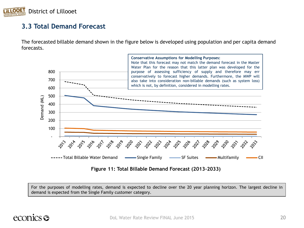

#### **3.3 Total Demand Forecast**

The forecasted billable demand shown in the figure below is developed using population and per capita demand forecasts.



**Figure 11: Total Billable Demand Forecast (2013-2033)**

For the purposes of modelling rates, demand is expected to decline over the 20 year planning horizon. The largest decline in demand is expected from the Single Family customer category.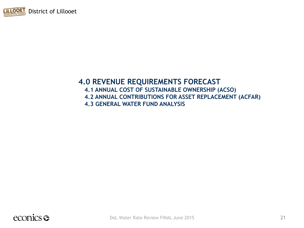

### **4.0 REVENUE REQUIREMENTS FORECAST**

**4.1 ANNUAL COST OF SUSTAINABLE OWNERSHIP (ACSO) 4.2 ANNUAL CONTRIBUTIONS FOR ASSET REPLACEMENT (ACFAR) 4.3 GENERAL WATER FUND ANALYSIS**

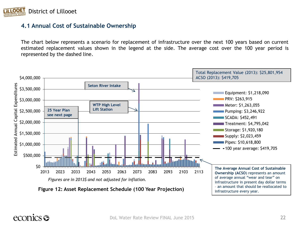

#### **4.1 Annual Cost of Sustainable Ownership**

The chart below represents a scenario for replacement of infrastructure over the next 100 years based on current estimated replacement values shown in the legend at the side. The average cost over the 100 year period is represented by the dashed line.



infrastructure every year.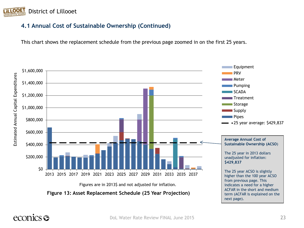

#### **4.1 Annual Cost of Sustainable Ownership (Continued)**

This chart shows the replacement schedule from the previous page zoomed in on the first 25 years.

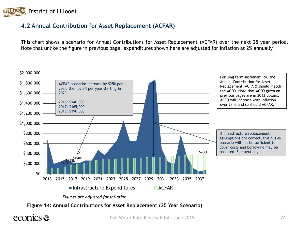

#### **4.2 Annual Contribution for Asset Replacement (ACFAR)**

This chart shows a scenario for Annual Contributions for Asset Replacement (ACFAR) over the next 25 year period. Note that unlike the figure in previous page, expenditures shown here are adjusted for inflation at 2% annually.



*Figures are adjusted for inflation.*

**Figure 14: Annual Contributions for Asset Replacement (25 Year Scenario)**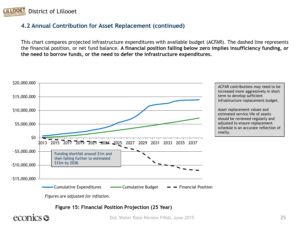

#### **4.2 Annual Contribution for Asset Replacement (continued)**

This chart compares projected infrastructure expenditures with available budget (ACFAR). The dashed line represents the financial position, or net fund balance. **A financial position falling below zero implies insufficiency funding, or the need to borrow funds, or the need to defer the infrastructure expenditures.**



**Figure 15: Financial Position Projection (25 Year)**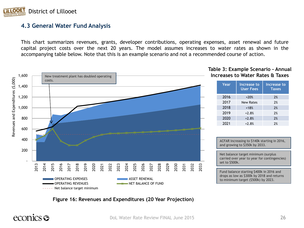

#### **4.3 General Water Fund Analysis**

This chart summarizes revenues, grants, developer contributions, operating expenses, asset renewal and future capital project costs over the next 20 years. The model assumes increases to water rates as shown in the accompanying table below. Note that this is an example scenario and not a recommended course of action.



#### **Table 3: Example Scenario - Annual Increases to Water Rates & Taxes**

| Year | Increase to<br><b>User Fees</b> | <b>Increase to</b><br><b>Taxes</b> |
|------|---------------------------------|------------------------------------|
| 2016 | $+20%$                          | 2%                                 |
| 2017 | <b>New Rates</b>                | 2%                                 |
| 2018 | $+18%$                          | 2%                                 |
| 2019 | $+2.8%$                         | 2%                                 |
| 2020 | $+2.8%$                         | 2%                                 |
| 2021 | $+2.8%$                         | 2%                                 |

ACFAR increasing to \$140k starting in 2016, and growing to \$350k by 2033.

Net balance target minimum (surplus carried over year to year for contingencies)

Fund balance starting \$400k in 2016 and drops as low as \$300k by 2018 and returns to minimum target (\$500k) by 2023.

#### **Figure 16: Revenues and Expenditures (20 Year Projection)**

### econics **s**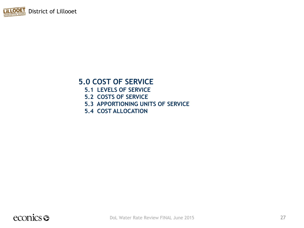

### **5.0 COST OF SERVICE**

- **5.1 LEVELS OF SERVICE**
- **5.2 COSTS OF SERVICE**
- **5.3 APPORTIONING UNITS OF SERVICE**
- **5.4 COST ALLOCATION**

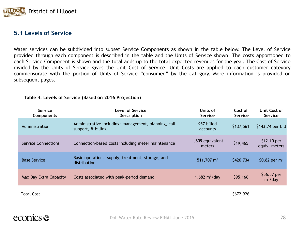

#### **5.1 Levels of Service**

Water services can be subdivided into subset Service Components as shown in the table below. The Level of Service provided through each component is described in the table and the Units of Service shown. The costs apportioned to each Service Component is shown and the total adds up to the total expected revenues for the year. The Cost of Service divided by the Units of Service gives the Unit Cost of Service. Unit Costs are applied to each customer category commensurate with the portion of Units of Service "consumed" by the category. More information is provided on subsequent pages.

|  | Table 4: Levels of Service (Based on 2016 Projection) |
|--|-------------------------------------------------------|
|--|-------------------------------------------------------|

| Service<br>Components      | <b>Level of Service</b><br>Description                                     | Units of<br>Service        | Cost of<br>Service | Unit Cost of<br><b>Service</b> |
|----------------------------|----------------------------------------------------------------------------|----------------------------|--------------------|--------------------------------|
| Administration             | Administrative including: management, planning, call<br>support, & billing | 957 billed<br>accounts     | \$137,561          | \$143.74 per bill              |
| <b>Service Connections</b> | Connection-based costs including meter maintenance                         | 1,609 equivalent<br>meters | \$19,465           | $$12.10$ per<br>equiv. meters  |
| <b>Base Service</b>        | Basic operations: supply, treatment, storage, and<br>distribution          | 511,707 $m3$               | \$420,734          | \$0.82 per $m^3$               |
| Max Day Extra Capacity     | Costs associated with peak-period demand                                   | 1,682 $m^3$ /day           | \$95,166           | \$56.57 per<br>$m^3$ /day      |
| <b>Total Cost</b>          |                                                                            |                            | \$672,926          |                                |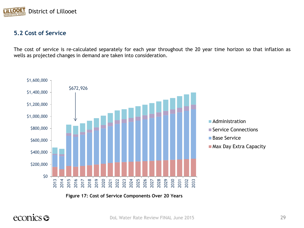

#### **5.2 Cost of Service**

The cost of service is re-calculated separately for each year throughout the 20 year time horizon so that inflation as wells as projected changes in demand are taken into consideration.



**Figure 17: Cost of Service Components Over 20 Years**

### econics <del>S</del>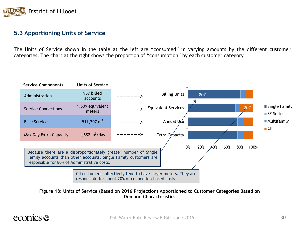

#### **5.3 Apportioning Units of Service**

The Units of Service shown in the table at the left are "consumed" in varying amounts by the different customer categories. The chart at the right shows the proportion of "consumption" by each customer category.



**Figure 18: Units of Service (Based on 2016 Projection) Apportioned to Customer Categories Based on Demand Characteristics**

### econics **es**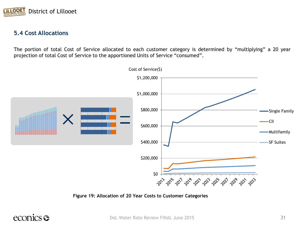

#### **5.4 Cost Allocations**

The portion of total Cost of Service allocated to each customer category is determined by "multiplying" a 20 year projection of total Cost of Service to the apportioned Units of Service "consumed".



**Figure 19: Allocation of 20 Year Costs to Customer Categories**

### econics <del>S</del>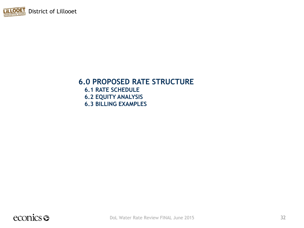

### **6.0 PROPOSED RATE STRUCTURE**

**6.1 RATE SCHEDULE 6.2 EQUITY ANALYSIS 6.3 BILLING EXAMPLES**

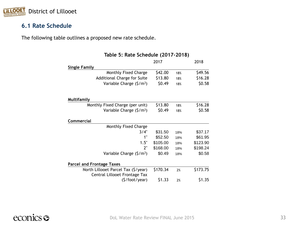

#### **6.1 Rate Schedule**

The following table outlines a proposed new rate schedule.

|                                                                      | Table 5: Rate Schedule (2017-2018) |     |          |  |  |  |
|----------------------------------------------------------------------|------------------------------------|-----|----------|--|--|--|
|                                                                      | 2017                               |     | 2018     |  |  |  |
| <b>Single Family</b>                                                 |                                    |     |          |  |  |  |
| Monthly Fixed Charge                                                 | \$42.00                            | 18% | \$49.56  |  |  |  |
| Additional Charge for Suite                                          | \$13.80                            | 18% | \$16.28  |  |  |  |
| Variable Charge $(\frac{5}{m^3})$                                    | \$0.49                             | 18% | \$0.58   |  |  |  |
| <b>Multifamily</b>                                                   |                                    |     |          |  |  |  |
| Monthly Fixed Charge (per unit)                                      | \$13.80                            | 18% | \$16.28  |  |  |  |
| Variable Charge $(\frac{5}{m^3})$                                    | \$0.49                             | 18% | \$0.58   |  |  |  |
| Commercial                                                           |                                    |     |          |  |  |  |
| Monthly Fixed Charge                                                 |                                    |     |          |  |  |  |
| 3/4"                                                                 | \$31.50                            | 18% | \$37.17  |  |  |  |
| 1"                                                                   | \$52.50                            | 18% | \$61.95  |  |  |  |
| 1.5"                                                                 | \$105.00                           | 18% | \$123.90 |  |  |  |
| 2"                                                                   | \$168.00                           | 18% | \$198.24 |  |  |  |
| Variable Charge $(S/m3)$                                             | \$0.49                             | 18% | \$0.58   |  |  |  |
| <b>Parcel and Frontage Taxes</b>                                     |                                    |     |          |  |  |  |
| North Lillooet Parcel Tax (\$/year)<br>Central Lillooet Frontage Tax | \$170.34                           | 2%  | \$173.75 |  |  |  |
| (\$/foot/year)                                                       | \$1.33                             | 2%  | \$1.35   |  |  |  |

#### **Table 5: Rate Schedule (2017-2018)**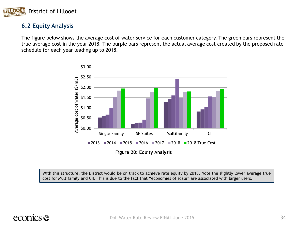

#### **6.2 Equity Analysis**

The figure below shows the average cost of water service for each customer category. The green bars represent the true average cost in the year 2018. The purple bars represent the actual average cost created by the proposed rate schedule for each year leading up to 2018.



**Figure 20: Equity Analysis**

With this structure, the District would be on track to achieve rate equity by 2018. Note the slightly lower average true cost for Multifamily and CII. This is due to the fact that "economies of scale" are associated with larger users.

### econics <del>S</del>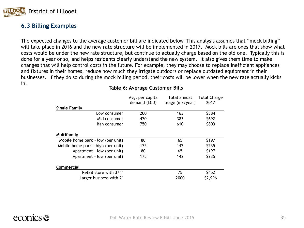

#### **6.3 Billing Examples**

The expected changes to the average customer bill are indicated below. This analysis assumes that "mock billing" will take place in 2016 and the new rate structure will be implemented in 2017. Mock bills are ones that show what costs would be under the new rate structure, but continue to actually charge based on the old one. Typically this is done for a year or so, and helps residents clearly understand the new system. It also gives them time to make changes that will help control costs in the future. For example, they may choose to replace inefficient appliances and fixtures in their homes, reduce how much they irrigate outdoors or replace outdated equipment in their businesses. If they do so during the mock billing period, their costs will be lower when the new rate actually kicks in.

|                                    | Avg. per capita | Total annual      | <b>Total Charge</b> |
|------------------------------------|-----------------|-------------------|---------------------|
|                                    | demand (LCD)    | usage $(m3/year)$ | 2017                |
| <b>Single Family</b>               |                 |                   |                     |
| Low consumer                       | 200             | 163               | \$584               |
| Mid consumer                       | 470             | 383               | \$692               |
| High consumer                      | 750             | 610               | \$803               |
| Multifamily                        |                 |                   |                     |
| Mobile home park - low (per unit)  | 80              | 65                | \$197               |
| Mobile home park - high (per unit) | 175             | 142               | \$235               |
| Apartment - low (per unit)         | 80              | 65                | \$197               |
| Apartment - low (per unit)         | 175             | 142               | \$235               |
| Commercial                         |                 |                   |                     |
| Retail store with 3/4"             |                 | 75                | \$452               |
| Larger business with 2"            |                 | 2000              | \$2,996             |

#### **Table 6: Average Customer Bills**

### econics **es**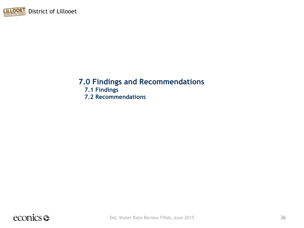

### **7.0 Findings and Recommendations**

**7.1 Findings 7.2 Recommendations**

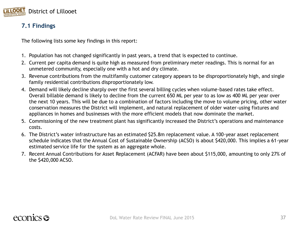

#### **7.1 Findings**

The following lists some key findings in this report:

- 1. Population has not changed significantly in past years, a trend that is expected to continue.
- 2. Current per capita demand is quite high as measured from preliminary meter readings. This is normal for an unmetered community, especially one with a hot and dry climate.
- 3. Revenue contributions from the multifamily customer category appears to be disproportionately high, and single family residential contributions disproportionately low.
- 4. Demand will likely decline sharply over the first several billing cycles when volume-based rates take effect. Overall billable demand is likely to decline from the current 650 ML per year to as low as 400 ML per year over the next 10 years. This will be due to a combination of factors including the move to volume pricing, other water conservation measures the District will implement, and natural replacement of older water-using fixtures and appliances in homes and businesses with the more efficient models that now dominate the market.
- 5. Commissioning of the new treatment plant has significantly increased the District's operations and maintenance costs.
- 6. The District's water infrastructure has an estimated \$25.8m replacement value. A 100-year asset replacement schedule indicates that the Annual Cost of Sustainable Ownership (ACSO) is about \$420,000. This implies a 61-year estimated service life for the system as an aggregate whole.
- 7. Recent Annual Contributions for Asset Replacement (ACFAR) have been about \$115,000, amounting to only 27% of the \$420,000 ACSO.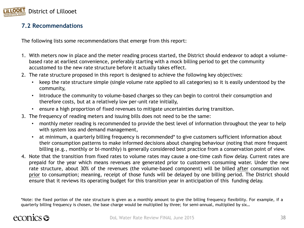

#### **7.2 Recommendations**

The following lists some recommendations that emerge from this report:

- 1. With meters now in place and the meter reading process started, the District should endeavor to adopt a volumebased rate at earliest convenience, preferably starting with a mock billing period to get the community accustomed to the new rate structure before it actually takes effect.
- 2. The rate structure proposed in this report is designed to achieve the following key objectives:
	- keep the rate structure simple (single volume rate applied to all categories) so it is easily understood by the community,
	- Introduce the community to volume-based charges so they can begin to control their consumption and therefore costs, but at a relatively low per-unit rate initially,
	- ensure a high proportion of fixed revenues to mitigate uncertainties during transition.
- 3. The frequency of reading meters and issuing bills does not need to be the same:
	- monthly meter reading is recommended to provide the best level of information throughout the year to help with system loss and demand management,
	- at minimum, a quarterly billing frequency is recommended\* to give customers sufficient information about their consumption patterns to make informed decisions about changing behaviour (noting that more frequent billing (e.g., monthly or bi-monthly) is generally considered best practice from a conservation point of view.
- 4. Note that the transition from fixed rates to volume rates may cause a one-time cash flow delay. Current rates are prepaid for the year which means revenues are generated prior to customers consuming water. Under the new rate structure, about 30% of the revenues (the volume-based component) will be billed after consumption not prior to consumption; meaning, receipt of those funds will be delayed by one billing period. The District should ensure that it reviews its operating budget for this transition year in anticipation of this funding delay.

\*Note: the fixed portion of the rate structure is given as a monthly amount to give the billing frequency flexibility. For example, if a quarterly billing frequency is chosen, the base charge would be multiplied by three; for semi-annual, multiplied by six…

### econics **es**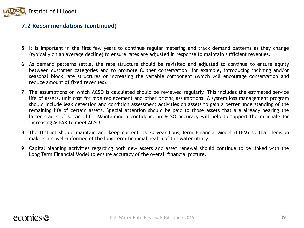

#### **7.2 Recommendations (continued)**

- 5. It is important in the first few years to continue regular metering and track demand patterns as they change (typically on an average decline) to ensure rates are adjusted in response to maintain sufficient revenues.
- 6. As demand patterns settle, the rate structure should be revisited and adjusted to continue to ensure equity between customer categories and to promote further conservation: for example, introducing inclining and/or seasonal block rate structures or increasing the variable component (which will encourage conservation and reduce amount of fixed revenues).
- 7. The assumptions on which ACSO is calculated should be reviewed regularly. This includes the estimated service life of assets, unit cost for pipe replacement and other pricing assumptions. A system loss management program should include leak detection and condition assessment activities on assets to gain a better understanding of the remaining life of certain assets. Special attention should be paid to those assets that are already nearing the latter stages of service life. Maintaining a confidence in ACSO accuracy will help to support the rationale for increasing ACFAR to meet ACSO.
- 8. The District should maintain and keep current its 20 year Long Term Financial Model (LTFM) so that decision makers are well-informed of the long term financial health of the water utility.
- 9. Capital planning activities regarding both new assets and asset renewal should continue to be linked with the Long Term Financial Model to ensure accuracy of the overall financial picture.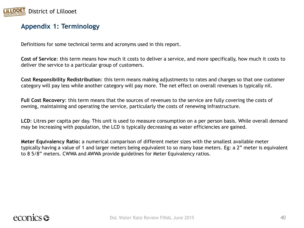

#### **Appendix 1: Terminology**

Definitions for some technical terms and acronyms used in this report.

**Cost of Service**: this term means how much it costs to deliver a service, and more specifically, how much it costs to deliver the service to a particular group of customers.

**Cost Responsibility Redistribution**: this term means making adjustments to rates and charges so that one customer category will pay less while another category will pay more. The net effect on overall revenues is typically nil.

**Full Cost Recovery**: this term means that the sources of revenues to the service are fully covering the costs of owning, maintaining and operating the service, particularly the costs of renewing infrastructure.

**LCD**: Litres per capita per day. This unit is used to measure consumption on a per person basis. While overall demand may be increasing with population, the LCD is typically decreasing as water efficiencies are gained.

**Meter Equivalency Ratio:** a numerical comparison of different meter sizes with the smallest available meter typically having a value of 1 and larger meters being equivalent to so many base meters. Eg: a 2" meter is equivalent to 8 5/8" meters. CWWA and AWWA provide guidelines for Meter Equivalency ratios.